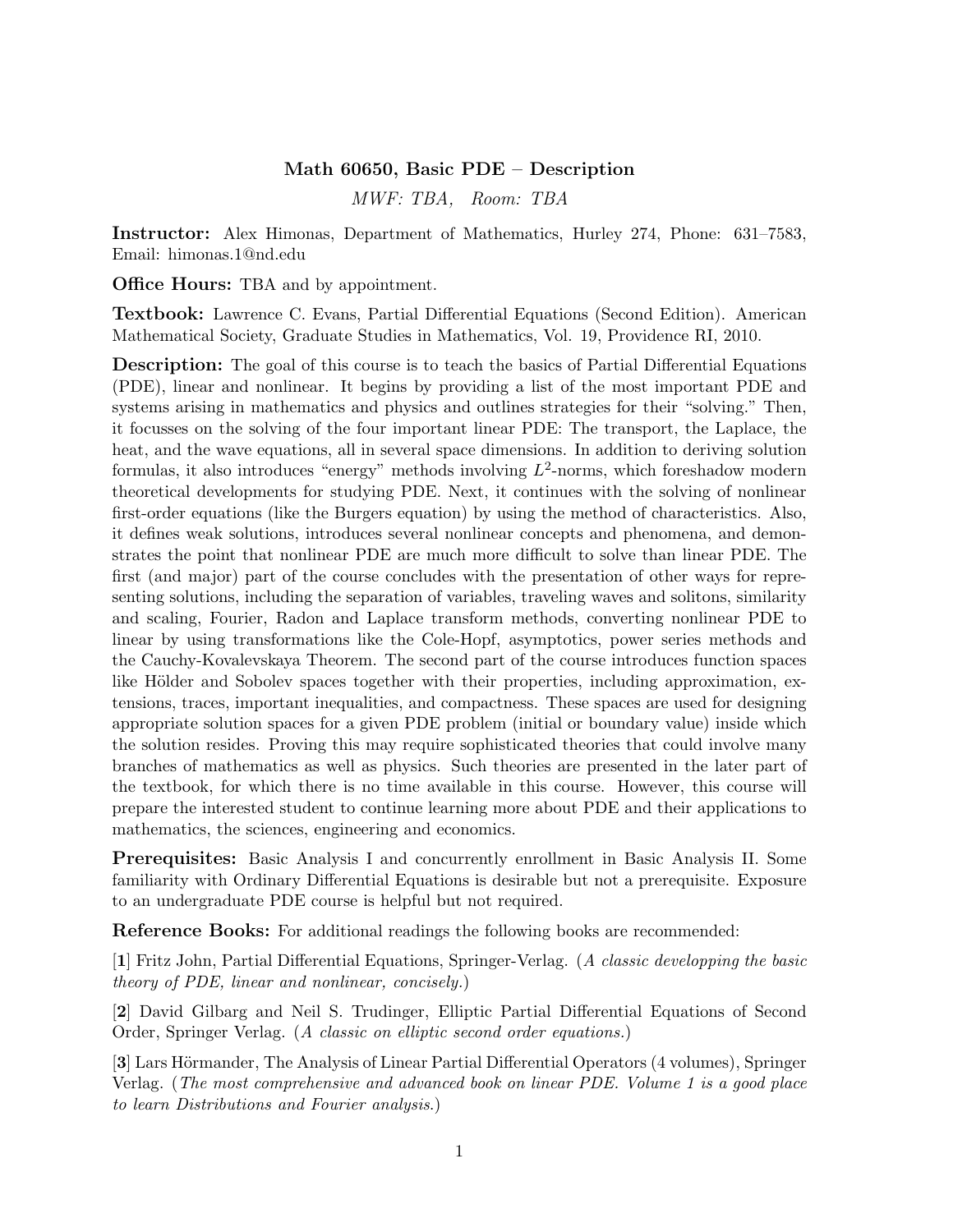## Math 60650, Basic PDE – Description

MWF: TBA, Room: TBA

Instructor: Alex Himonas, Department of Mathematics, Hurley 274, Phone: 631–7583, Email: himonas.1@nd.edu

Office Hours: TBA and by appointment.

Textbook: Lawrence C. Evans, Partial Differential Equations (Second Edition). American Mathematical Society, Graduate Studies in Mathematics, Vol. 19, Providence RI, 2010.

Description: The goal of this course is to teach the basics of Partial Differential Equations (PDE), linear and nonlinear. It begins by providing a list of the most important PDE and systems arising in mathematics and physics and outlines strategies for their "solving." Then, it focusses on the solving of the four important linear PDE: The transport, the Laplace, the heat, and the wave equations, all in several space dimensions. In addition to deriving solution formulas, it also introduces "energy" methods involving  $L^2$ -norms, which foreshadow modern theoretical developments for studying PDE. Next, it continues with the solving of nonlinear first-order equations (like the Burgers equation) by using the method of characteristics. Also, it defines weak solutions, introduces several nonlinear concepts and phenomena, and demonstrates the point that nonlinear PDE are much more difficult to solve than linear PDE. The first (and major) part of the course concludes with the presentation of other ways for representing solutions, including the separation of variables, traveling waves and solitons, similarity and scaling, Fourier, Radon and Laplace transform methods, converting nonlinear PDE to linear by using transformations like the Cole-Hopf, asymptotics, power series methods and the Cauchy-Kovalevskaya Theorem. The second part of the course introduces function spaces like Hölder and Sobolev spaces together with their properties, including approximation, extensions, traces, important inequalities, and compactness. These spaces are used for designing appropriate solution spaces for a given PDE problem (initial or boundary value) inside which the solution resides. Proving this may require sophisticated theories that could involve many branches of mathematics as well as physics. Such theories are presented in the later part of the textbook, for which there is no time available in this course. However, this course will prepare the interested student to continue learning more about PDE and their applications to mathematics, the sciences, engineering and economics.

Prerequisites: Basic Analysis I and concurrently enrollment in Basic Analysis II. Some familiarity with Ordinary Differential Equations is desirable but not a prerequisite. Exposure to an undergraduate PDE course is helpful but not required.

Reference Books: For additional readings the following books are recommended:

[1] Fritz John, Partial Differential Equations, Springer-Verlag. (A classic developping the basic theory of PDE, linear and nonlinear, concisely.)

[2] David Gilbarg and Neil S. Trudinger, Elliptic Partial Differential Equations of Second Order, Springer Verlag. (A classic on elliptic second order equations.)

[3] Lars Hörmander, The Analysis of Linear Partial Differential Operators (4 volumes), Springer Verlag. (The most comprehensive and advanced book on linear PDE. Volume 1 is a good place to learn Distributions and Fourier analysis.)